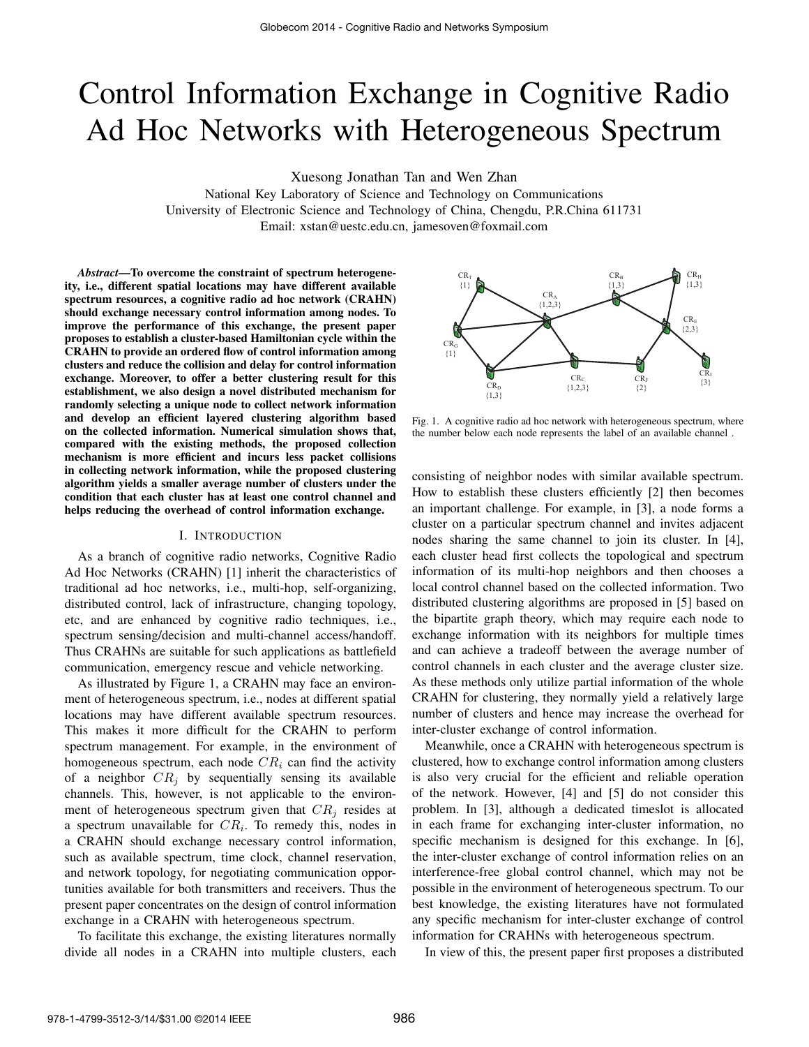# Control Information Exchange in Cognitive Radio Ad Hoc Networks with Heterogeneous Spectrum

Xuesong Jonathan Tan and Wen Zhan

National Key Laboratory of Science and Technology on Communications University of Electronic Science and Technology of China, Chengdu, P.R.China 611731 Email: xstan@uestc.edu.cn, jamesoven@foxmail.com

*Abstract*—To overcome the constraint of spectrum heterogeneity, i.e., different spatial locations may have different available spectrum resources, a cognitive radio ad hoc network (CRAHN) should exchange necessary control information among nodes. To improve the performance of this exchange, the present paper proposes to establish a cluster-based Hamiltonian cycle within the CRAHN to provide an ordered flow of control information among clusters and reduce the collision and delay for control information exchange. Moreover, to offer a better clustering result for this establishment, we also design a novel distributed mechanism for randomly selecting a unique node to collect network information and develop an efficient layered clustering algorithm based on the collected information. Numerical simulation shows that, compared with the existing methods, the proposed collection mechanism is more efficient and incurs less packet collisions in collecting network information, while the proposed clustering algorithm yields a smaller average number of clusters under the condition that each cluster has at least one control channel and helps reducing the overhead of control information exchange.

## I. INTRODUCTION

As a branch of cognitive radio networks, Cognitive Radio Ad Hoc Networks (CRAHN) [1] inherit the characteristics of traditional ad hoc networks, i.e., multi-hop, self-organizing, distributed control, lack of infrastructure, changing topology, etc, and are enhanced by cognitive radio techniques, i.e., spectrum sensing/decision and multi-channel access/handoff. Thus CRAHNs are suitable for such applications as battlefield communication, emergency rescue and vehicle networking.

As illustrated by Figure 1, a CRAHN may face an environment of heterogeneous spectrum, i.e., nodes at different spatial locations may have different available spectrum resources. This makes it more difficult for the CRAHN to perform spectrum management. For example, in the environment of homogeneous spectrum, each node  $CR<sub>i</sub>$  can find the activity of a neighbor  $CR_j$  by sequentially sensing its available channels. This, however, is not applicable to the environment of heterogeneous spectrum given that  $CR<sub>j</sub>$  resides at a spectrum unavailable for  $CR_i$ . To remedy this, nodes in a CRAHN should exchange necessary control information, such as available spectrum, time clock, channel reservation, and network topology, for negotiating communication opportunities available for both transmitters and receivers. Thus the present paper concentrates on the design of control information exchange in a CRAHN with heterogeneous spectrum.

To facilitate this exchange, the existing literatures normally divide all nodes in a CRAHN into multiple clusters, each



Fig. 1. A cognitive radio ad hoc network with heterogeneous spectrum, where the number below each node represents the label of an available channel .

consisting of neighbor nodes with similar available spectrum. How to establish these clusters efficiently [2] then becomes an important challenge. For example, in [3], a node forms a cluster on a particular spectrum channel and invites adjacent nodes sharing the same channel to join its cluster. In [4], each cluster head first collects the topological and spectrum information of its multi-hop neighbors and then chooses a local control channel based on the collected information. Two distributed clustering algorithms are proposed in [5] based on the bipartite graph theory, which may require each node to exchange information with its neighbors for multiple times and can achieve a tradeoff between the average number of control channels in each cluster and the average cluster size. As these methods only utilize partial information of the whole CRAHN for clustering, they normally yield a relatively large number of clusters and hence may increase the overhead for inter-cluster exchange of control information.

Meanwhile, once a CRAHN with heterogeneous spectrum is clustered, how to exchange control information among clusters is also very crucial for the efficient and reliable operation of the network. However, [4] and [5] do not consider this problem. In [3], although a dedicated timeslot is allocated in each frame for exchanging inter-cluster information, no specific mechanism is designed for this exchange. In [6], the inter-cluster exchange of control information relies on an interference-free global control channel, which may not be possible in the environment of heterogeneous spectrum. To our best knowledge, the existing literatures have not formulated any specific mechanism for inter-cluster exchange of control information for CRAHNs with heterogeneous spectrum.

In view of this, the present paper first proposes a distributed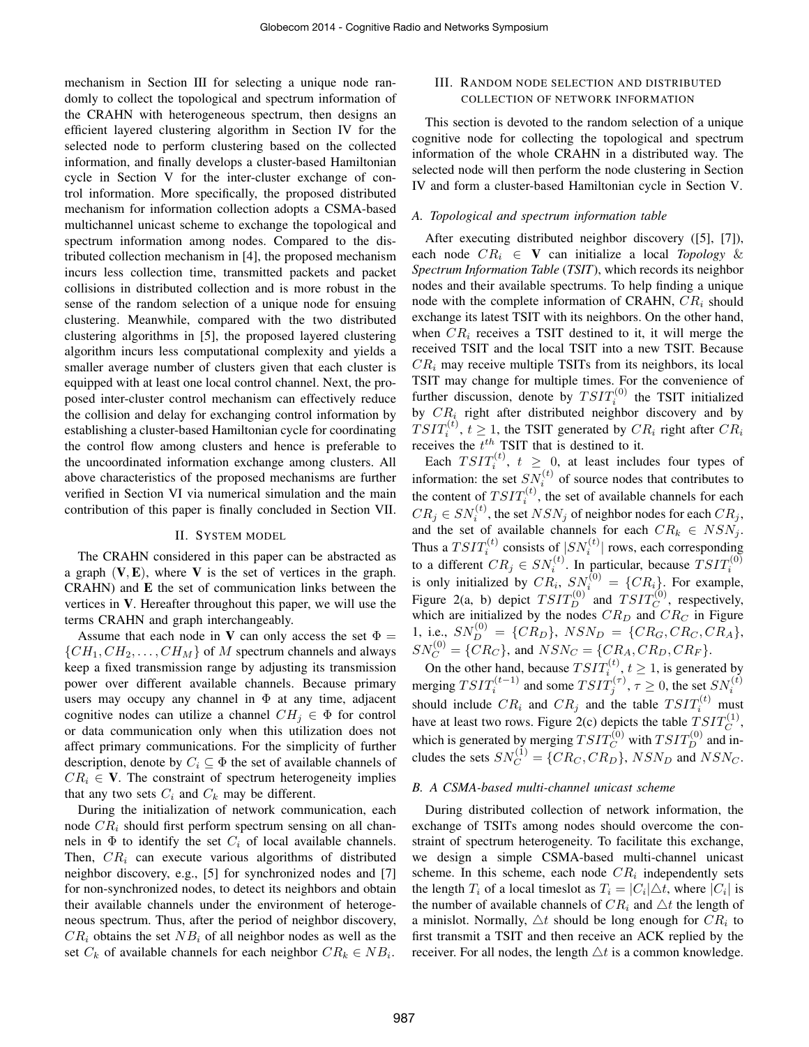mechanism in Section III for selecting a unique node randomly to collect the topological and spectrum information of the CRAHN with heterogeneous spectrum, then designs an efficient layered clustering algorithm in Section IV for the selected node to perform clustering based on the collected information, and finally develops a cluster-based Hamiltonian cycle in Section V for the inter-cluster exchange of control information. More specifically, the proposed distributed mechanism for information collection adopts a CSMA-based multichannel unicast scheme to exchange the topological and spectrum information among nodes. Compared to the distributed collection mechanism in [4], the proposed mechanism incurs less collection time, transmitted packets and packet collisions in distributed collection and is more robust in the sense of the random selection of a unique node for ensuing clustering. Meanwhile, compared with the two distributed clustering algorithms in [5], the proposed layered clustering algorithm incurs less computational complexity and yields a smaller average number of clusters given that each cluster is equipped with at least one local control channel. Next, the proposed inter-cluster control mechanism can effectively reduce the collision and delay for exchanging control information by establishing a cluster-based Hamiltonian cycle for coordinating the control flow among clusters and hence is preferable to the uncoordinated information exchange among clusters. All above characteristics of the proposed mechanisms are further verified in Section VI via numerical simulation and the main contribution of this paper is finally concluded in Section VII.

## II. SYSTEM MODEL

The CRAHN considered in this paper can be abstracted as a graph  $(V, E)$ , where V is the set of vertices in the graph. CRAHN) and E the set of communication links between the vertices in V. Hereafter throughout this paper, we will use the terms CRAHN and graph interchangeably.

Assume that each node in V can only access the set  $\Phi =$  $\{CH_1, CH_2, \ldots, CH_M\}$  of M spectrum channels and always keep a fixed transmission range by adjusting its transmission power over different available channels. Because primary users may occupy any channel in  $\Phi$  at any time, adjacent cognitive nodes can utilize a channel  $CH_i \in \Phi$  for control or data communication only when this utilization does not affect primary communications. For the simplicity of further description, denote by  $C_i \subseteq \Phi$  the set of available channels of  $CR_i \in V$ . The constraint of spectrum heterogeneity implies that any two sets  $C_i$  and  $C_k$  may be different.

During the initialization of network communication, each node  $CR_i$  should first perform spectrum sensing on all channels in  $\Phi$  to identify the set  $C_i$  of local available channels. Then,  $CR_i$  can execute various algorithms of distributed neighbor discovery, e.g., [5] for synchronized nodes and [7] for non-synchronized nodes, to detect its neighbors and obtain their available channels under the environment of heterogeneous spectrum. Thus, after the period of neighbor discovery,  $CR_i$  obtains the set  $NB_i$  of all neighbor nodes as well as the set  $C_k$  of available channels for each neighbor  $CR_k \in NB_i$ .

# III. RANDOM NODE SELECTION AND DISTRIBUTED COLLECTION OF NETWORK INFORMATION

This section is devoted to the random selection of a unique cognitive node for collecting the topological and spectrum information of the whole CRAHN in a distributed way. The selected node will then perform the node clustering in Section IV and form a cluster-based Hamiltonian cycle in Section V.

# *A. Topological and spectrum information table*

After executing distributed neighbor discovery ([5], [7]), each node  $CR_i \in V$  can initialize a local *Topology* & *Spectrum Information Table* (*TSIT*), which records its neighbor nodes and their available spectrums. To help finding a unique node with the complete information of CRAHN,  $CR<sub>i</sub>$  should exchange its latest TSIT with its neighbors. On the other hand, when  $CR_i$  receives a TSIT destined to it, it will merge the received TSIT and the local TSIT into a new TSIT. Because  $CR<sub>i</sub>$  may receive multiple TSITs from its neighbors, its local TSIT may change for multiple times. For the convenience of further discussion, denote by  $T S I T_i^{(0)}$  the TSIT initialized by  $CR_i$  right after distributed neighbor discovery and by  $T S I T_i^{(t)}$ ,  $t \geq 1$ , the TSIT generated by  $CR_i$  right after  $CR_i$ receives the  $t^{th}$  TSIT that is destined to it.

Each  $T S I T_i^{(t)}$ ,  $t \geq 0$ , at least includes four types of information: the set  $SN_i^{(t)}$  of source nodes that contributes to the content of  $TSTT_i^{(t)}$ , the set of available channels for each  $CR_j \in SN_i^{(t)}$ , the set  $NSN_j$  of neighbor nodes for each  $CR_j$ , and the set of available channels for each  $CR_k \in NSN_j$ . Thus a  $T S I T_i^{(t)}$  consists of  $|S N_i^{(t)}|$  rows, each corresponding to a different  $CR_j \in SN_i^{(t)}$ . In particular, because  $TSTT_i^{(0)}$ <br>is only initialized by  $CR_i$ ,  $SN_i^{(0)} = \{CR_i\}$ . For example, Figure 2(a, b) depict  $TSTT_D^{(0)}$  and  $TSTT_C^{(0)}$ , respectively, which are initialized by the nodes  $CR_D$  and  $CR_C$  in Figure 1, i.e.,  $SN_D^{(0)} = \{CR_D\}$ ,  $NSN_D = \{CR_G, CR_C, CR_A\}$ ,  $SN_C^{(0)} = \{CR_C\}$ , and  $NSN_C = \{CR_A, CR_D, CR_F\}$ .

On the other hand, because  $T S I T_i^{(t)}$ ,  $t \ge 1$ , is generated by merging  $TSTT_i^{(t-1)}$  and some  $TSTT_j^{(\tau)}$ ,  $\tau \ge 0$ , the set  $SN_i^{(t)}$  should include  $CR_i$  and  $CR_j$  and the table  $TSTT_i^{(t)}$  must have at least two rows. Figure 2(c) depicts the table  $T S I T_C^{(1)}$ , which is generated by merging  $TSTT_C^{(0)}$  with  $TSTT_D^{(0)}$  and includes the sets  $SN_C^{(1)} = \{CR_C, CR_D\}$ ,  $NSN_D$  and  $NSN_C$ .

#### *B. A CSMA-based multi-channel unicast scheme*

During distributed collection of network information, the exchange of TSITs among nodes should overcome the constraint of spectrum heterogeneity. To facilitate this exchange, we design a simple CSMA-based multi-channel unicast scheme. In this scheme, each node  $CR<sub>i</sub>$  independently sets the length  $T_i$  of a local timeslot as  $T_i = |C_i| \triangle t$ , where  $|C_i|$  is the number of available channels of  $CR_i$  and  $\triangle t$  the length of a minislot. Normally,  $\triangle t$  should be long enough for  $CR_i$  to first transmit a TSIT and then receive an ACK replied by the receiver. For all nodes, the length  $\triangle t$  is a common knowledge.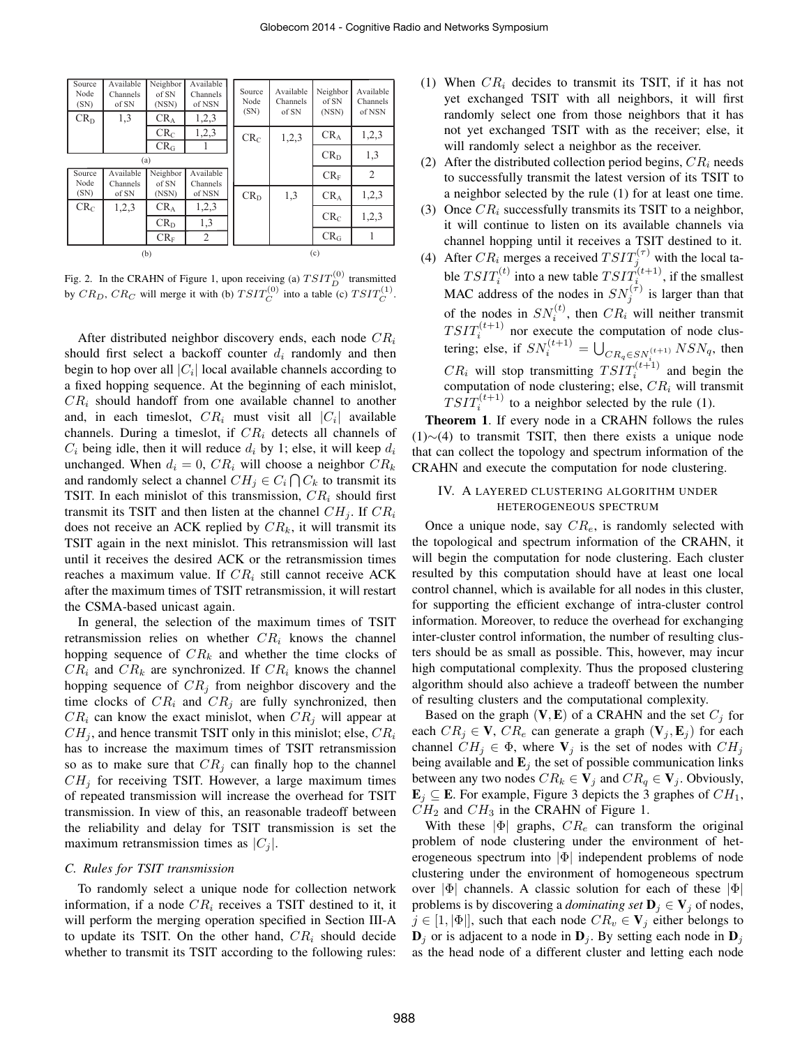| Source<br>Node<br>(SN) | Available<br>Channels<br>of SN | Neighbor<br>of SN<br>(NSN) | Available<br>Channels<br>of NSN | Source<br>Node<br>(SN) | Available<br>Channels<br>of SN | Neighbor<br>of SN<br>(NSN) | Available<br>Channels<br>of NSN |
|------------------------|--------------------------------|----------------------------|---------------------------------|------------------------|--------------------------------|----------------------------|---------------------------------|
| $CR_D$                 | 1,3                            | $CR_A$                     | 1,2,3                           |                        |                                |                            |                                 |
|                        |                                | $CR_C$                     | 1,2,3                           | CR <sub>C</sub>        | 1,2,3                          | CR <sub>A</sub>            | 1,2,3                           |
|                        |                                | $CR_G$                     |                                 |                        |                                |                            |                                 |
| (a)                    |                                |                            |                                 |                        |                                | $\rm CR_D$                 | 1,3                             |
| Source<br>Node         | Available<br>Channels          | Neighbor<br>of SN          | Available<br>Channels           |                        |                                | $CR_F$                     | $\overline{2}$                  |
| (SN)                   | of SN                          | (NSN)                      | of NSN                          | CR <sub>D</sub>        | 1,3                            | CR <sub>A</sub>            | 1,2,3                           |
| CR <sub>C</sub>        | 1,2,3                          | CR <sub>A</sub>            | 1,2,3                           |                        |                                |                            |                                 |
|                        |                                | $CR_D$                     | 1,3                             |                        |                                | $\rm CR_{C}$               | 1,2,3                           |
|                        |                                | $CR_F$                     | 2                               |                        |                                | $CR_G$                     |                                 |
| (b)                    |                                |                            |                                 | (c)                    |                                |                            |                                 |

Fig. 2. In the CRAHN of Figure 1, upon receiving (a)  $TSTT_D^{(0)}$  transmitted by  $CR_D$ ,  $CR_C$  will merge it with (b)  $TST_C^{(0)}$  into a table (c)  $TST_T^{(1)}$ .

After distributed neighbor discovery ends, each node  $CR_i$ should first select a backoff counter  $d_i$  randomly and then begin to hop over all  $|C_i|$  local available channels according to a fixed hopping sequence. At the beginning of each minislot,  $CR<sub>i</sub>$  should handoff from one available channel to another and, in each timeslot,  $CR_i$  must visit all  $|C_i|$  available channels. During a timeslot, if  $CR_i$  detects all channels of  $C_i$  being idle, then it will reduce  $d_i$  by 1; else, it will keep  $d_i$ unchanged. When  $d_i = 0$ ,  $CR_i$  will choose a neighbor  $CR_k$ and randomly select a channel  $CH_j \in C_i \cap C_k$  to transmit its TSIT. In each minislot of this transmission,  $CR<sub>i</sub>$  should first transmit its TSIT and then listen at the channel  $CH_i$ . If  $CR_i$ does not receive an ACK replied by  $CR_k$ , it will transmit its TSIT again in the next minislot. This retransmission will last until it receives the desired ACK or the retransmission times reaches a maximum value. If  $CR_i$  still cannot receive ACK after the maximum times of TSIT retransmission, it will restart the CSMA-based unicast again.

In general, the selection of the maximum times of TSIT retransmission relies on whether  $CR<sub>i</sub>$  knows the channel hopping sequence of  $CR_k$  and whether the time clocks of  $CR_i$  and  $CR_k$  are synchronized. If  $CR_i$  knows the channel hopping sequence of  $CR<sub>j</sub>$  from neighbor discovery and the time clocks of  $CR_i$  and  $CR_j$  are fully synchronized, then  $CR_i$  can know the exact minislot, when  $CR_i$  will appear at  $CH_j$ , and hence transmit TSIT only in this minislot; else,  $CR_i$ has to increase the maximum times of TSIT retransmission so as to make sure that  $CR<sub>j</sub>$  can finally hop to the channel  $CH<sub>j</sub>$  for receiving TSIT. However, a large maximum times of repeated transmission will increase the overhead for TSIT transmission. In view of this, an reasonable tradeoff between the reliability and delay for TSIT transmission is set the maximum retransmission times as  $|C_i|$ .

#### *C. Rules for TSIT transmission*

To randomly select a unique node for collection network information, if a node  $CR_i$  receives a TSIT destined to it, it will perform the merging operation specified in Section III-A to update its TSIT. On the other hand,  $CR<sub>i</sub>$  should decide whether to transmit its TSIT according to the following rules:

- (1) When  $CR_i$  decides to transmit its TSIT, if it has not yet exchanged TSIT with all neighbors, it will first randomly select one from those neighbors that it has not yet exchanged TSIT with as the receiver; else, it will randomly select a neighbor as the receiver.
- (2) After the distributed collection period begins,  $CR<sub>i</sub>$  needs to successfully transmit the latest version of its TSIT to a neighbor selected by the rule (1) for at least one time.
- (3) Once  $CR_i$  successfully transmits its TSIT to a neighbor, it will continue to listen on its available channels via channel hopping until it receives a TSIT destined to it.
- (4) After  $CR_i$  merges a received  $T SIT_j^{(\tau)}$  with the local table  $T S I T_i^{(t)}$  into a new table  $T S I T_i^{(t+1)}$ , if the smallest MAC address of the nodes in  $SN_j^{(\tau)}$  is larger than that of the nodes in  $SN_i^{(t)}$ , then  $CR_i$  will neither transmit  $T S I T_i^{(t+1)}$  nor execute the computation of node clustering; else, if  $SN_i^{(t+1)} = \bigcup_{CR_q \in SN_i^{(t+1)}} NSN_q$ , then  $CR_i$  will stop transmitting  $TSIT_i^{(t+1)}$  and begin the computation of node clustering; else,  $CR<sub>i</sub>$  will transmit  $TSTT_i^{(t+1)}$  to a neighbor selected by the rule (1).

Theorem 1. If every node in a CRAHN follows the rules (1)∼(4) to transmit TSIT, then there exists a unique node that can collect the topology and spectrum information of the CRAHN and execute the computation for node clustering.

# IV. A LAYERED CLUSTERING ALGORITHM UNDER HETEROGENEOUS SPECTRUM

Once a unique node, say  $CR_e$ , is randomly selected with the topological and spectrum information of the CRAHN, it will begin the computation for node clustering. Each cluster resulted by this computation should have at least one local control channel, which is available for all nodes in this cluster, for supporting the efficient exchange of intra-cluster control information. Moreover, to reduce the overhead for exchanging inter-cluster control information, the number of resulting clusters should be as small as possible. This, however, may incur high computational complexity. Thus the proposed clustering algorithm should also achieve a tradeoff between the number of resulting clusters and the computational complexity.

Based on the graph  $(V, E)$  of a CRAHN and the set  $C_i$  for each  $CR_j \in \mathbf{V}$ ,  $CR_e$  can generate a graph  $(\mathbf{V}_j, \mathbf{E}_j)$  for each channel  $CH_j \in \Phi$ , where  $V_j$  is the set of nodes with  $CH_j$ being available and  $\mathbf{E}_j$  the set of possible communication links between any two nodes  $CR_k \in V_j$  and  $CR_q \in V_j$ . Obviously,  $\mathbf{E}_j \subseteq \mathbf{E}$ . For example, Figure 3 depicts the 3 graphes of  $CH_1$ ,  $CH<sub>2</sub>$  and  $CH<sub>3</sub>$  in the CRAHN of Figure 1.

With these  $|\Phi|$  graphs,  $CR_e$  can transform the original problem of node clustering under the environment of heterogeneous spectrum into  $|\Phi|$  independent problems of node clustering under the environment of homogeneous spectrum over  $|\Phi|$  channels. A classic solution for each of these  $|\Phi|$ problems is by discovering a *dominating set*  $\mathbf{D}_i \in \mathbf{V}_i$  of nodes,  $j \in [1, |\Phi|]$ , such that each node  $CR_v \in V_j$  either belongs to  $\mathbf{D}_j$  or is adjacent to a node in  $\mathbf{D}_j$ . By setting each node in  $\mathbf{D}_j$ as the head node of a different cluster and letting each node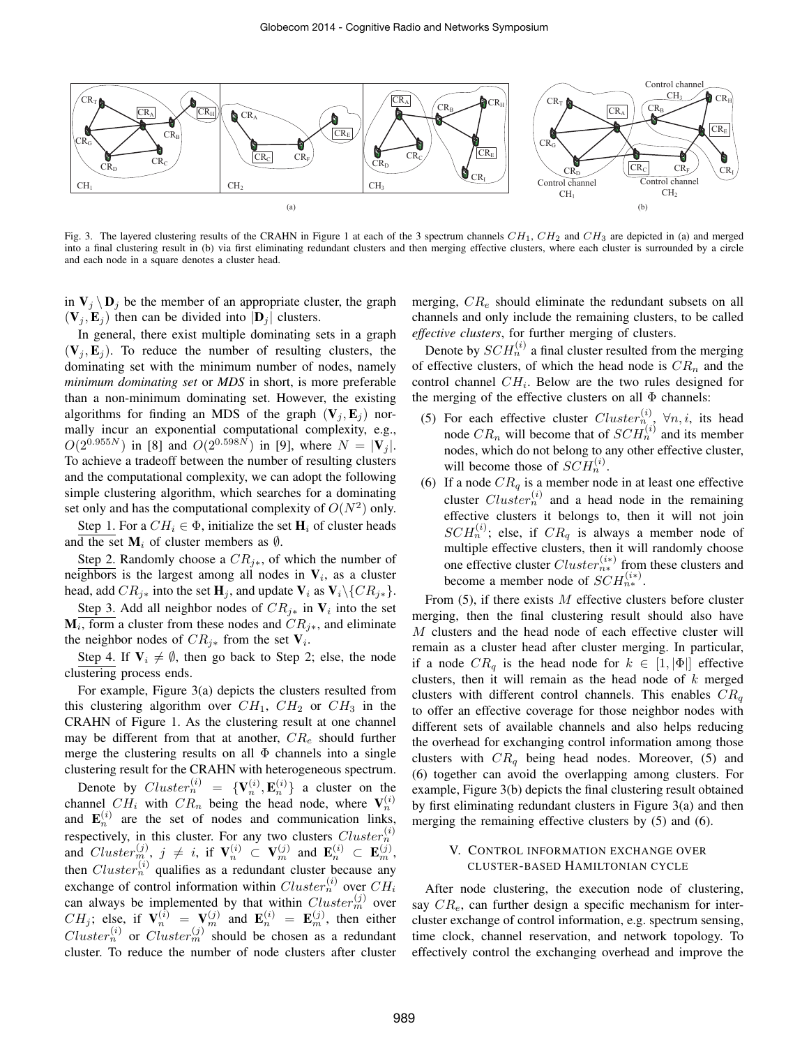

Fig. 3. The layered clustering results of the CRAHN in Figure 1 at each of the 3 spectrum channels  $CH_1$ ,  $CH_2$  and  $CH_3$  are depicted in (a) and merged into a final clustering result in (b) via first eliminating redundant clusters and then merging effective clusters, where each cluster is surrounded by a circle and each node in a square denotes a cluster head.

in  $V_i \backslash D_i$  be the member of an appropriate cluster, the graph  $(V_i, E_j)$  then can be divided into  $|D_j|$  clusters.

In general, there exist multiple dominating sets in a graph  $(V_i, E_j)$ . To reduce the number of resulting clusters, the dominating set with the minimum number of nodes, namely *minimum dominating set* or *MDS* in short, is more preferable than a non-minimum dominating set. However, the existing algorithms for finding an MDS of the graph  $(V_i, E_j)$  normally incur an exponential computational complexity, e.g.,  $O(2^{0.955N})$  in [8] and  $O(2^{0.598N})$  in [9], where  $N = |\mathbf{V}_i|$ . To achieve a tradeoff between the number of resulting clusters and the computational complexity, we can adopt the following simple clustering algorithm, which searches for a dominating set only and has the computational complexity of  $O(N^2)$  only.

Step 1. For a  $CH_i \in \Phi$ , initialize the set  $H_i$  of cluster heads and the set  $M_i$  of cluster members as  $\emptyset$ .

Step 2. Randomly choose a  $CR_{i*}$ , of which the number of neighbors is the largest among all nodes in  $V_i$ , as a cluster head, add  $CR_{j*}$  into the set  $H_j$ , and update  $V_i$  as  $V_i\backslash\{CR_{j*}\}.$ 

Step 3. Add all neighbor nodes of  $CR_{j*}$  in  $V_i$  into the set  $M_i$ , form a cluster from these nodes and  $CR_{j*}$ , and eliminate the neighbor nodes of  $CR_{i*}$  from the set  $V_i$ .

Step 4. If  $V_i \neq \emptyset$ , then go back to Step 2; else, the node clustering process ends.

For example, Figure 3(a) depicts the clusters resulted from this clustering algorithm over  $CH_1$ ,  $CH_2$  or  $CH_3$  in the CRAHN of Figure 1. As the clustering result at one channel may be different from that at another,  $CR_e$  should further merge the clustering results on all  $\Phi$  channels into a single clustering result for the CRAHN with heterogeneous spectrum.

Denote by  $Cluster_n^{(i)} = {\mathbf{V}_n^{(i)}, \mathbf{E}_n^{(i)}}$  a cluster on the channel  $CH_i$  with  $CR_n$  being the head node, where  $V_n^{(i)}$ and  $\mathbf{E}_n^{(i)}$  are the set of nodes and communication links, respectively, in this cluster. For any two clusters  $Cluster_n^{(i)}$ and  $Cluster_{m}^{(j)}$ ,  $j \neq i$ , if  $\mathbf{V}_n^{(i)} \subset \mathbf{V}_m^{(j)}$  and  $\mathbf{E}_n^{(i)} \subset \mathbf{E}_m^{(j)}$ , then  $Cluster_n^{(i)}$  qualifies as a redundant cluster because any exchange of control information within  $Cluster_n^{(i)}$  over  $CH_i$ can always be implemented by that within  $Cluster_m^{(j)}$  over  $CH_j$ ; else, if  $\mathbf{V}_n^{(i)} = \mathbf{V}_m^{(j)}$  and  $\mathbf{E}_n^{(i)} = \mathbf{E}_m^{(j)}$ , then either  $Cluster_n^{(i)}$  or  $Cluster_m^{(j)}$  should be chosen as a redundant cluster. To reduce the number of node clusters after cluster merging,  $CR_e$  should eliminate the redundant subsets on all channels and only include the remaining clusters, to be called *effective clusters*, for further merging of clusters.

Denote by  $SCH_n^{(i)}$  a final cluster resulted from the merging of effective clusters, of which the head node is  $CR_n$  and the control channel  $CH_i$ . Below are the two rules designed for the merging of the effective clusters on all  $\Phi$  channels:

- (5) For each effective cluster  $Cluster_{n(i)}^{(i)} \forall n, i$ , its head node  $CR_n$  will become that of  $SCH_n^{(i)}$  and its member nodes, which do not belong to any other effective cluster, will become those of  $SCH_n^{(i)}$ .
- (6) If a node  $CR_q$  is a member node in at least one effective cluster  $Cluster_n^{(i)}$  and a head node in the remaining effective clusters it belongs to, then it will not join  $SCH_n^{(i)}$ ; else, if  $CR_a$  is always a member node of multiple effective clusters, then it will randomly choose one effective cluster  $Cluster_{n*}^{(i*)}$  from these clusters and become a member node of  $SCH_{n*}^{(i*)}$ .

From  $(5)$ , if there exists M effective clusters before cluster merging, then the final clustering result should also have M clusters and the head node of each effective cluster will remain as a cluster head after cluster merging. In particular, if a node  $CR_q$  is the head node for  $k \in [1, |\Phi|]$  effective clusters, then it will remain as the head node of  $k$  merged clusters with different control channels. This enables  $CR<sub>a</sub>$ to offer an effective coverage for those neighbor nodes with different sets of available channels and also helps reducing the overhead for exchanging control information among those clusters with  $CR<sub>q</sub>$  being head nodes. Moreover, (5) and (6) together can avoid the overlapping among clusters. For example, Figure 3(b) depicts the final clustering result obtained by first eliminating redundant clusters in Figure 3(a) and then merging the remaining effective clusters by (5) and (6).

# V. CONTROL INFORMATION EXCHANGE OVER CLUSTER-BASED HAMILTONIAN CYCLE

After node clustering, the execution node of clustering, say  $CR_e$ , can further design a specific mechanism for intercluster exchange of control information, e.g. spectrum sensing, time clock, channel reservation, and network topology. To effectively control the exchanging overhead and improve the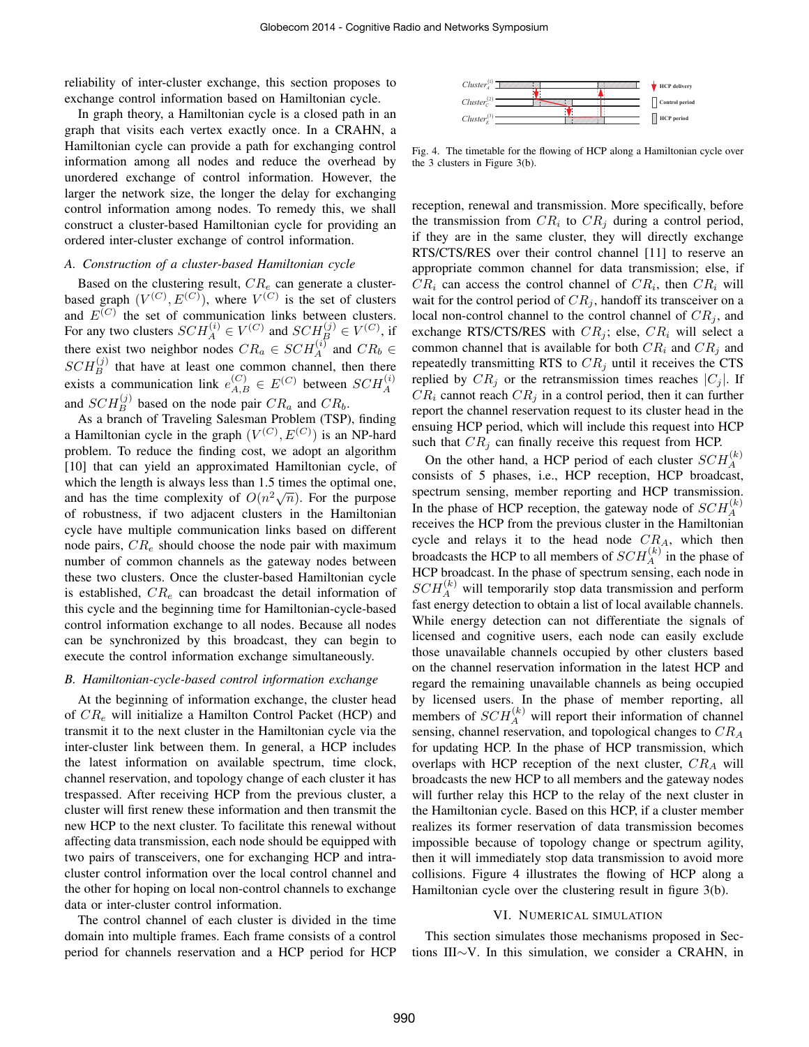reliability of inter-cluster exchange, this section proposes to exchange control information based on Hamiltonian cycle.

In graph theory, a Hamiltonian cycle is a closed path in an graph that visits each vertex exactly once. In a CRAHN, a Hamiltonian cycle can provide a path for exchanging control information among all nodes and reduce the overhead by unordered exchange of control information. However, the larger the network size, the longer the delay for exchanging control information among nodes. To remedy this, we shall construct a cluster-based Hamiltonian cycle for providing an ordered inter-cluster exchange of control information.

# *A. Construction of a cluster-based Hamiltonian cycle*

Based on the clustering result,  $CR_e$  can generate a clusterbased graph  $(V^{(C)}, E^{(C)})$ , where  $V^{(C)}$  is the set of clusters and  $E^{(C)}$  the set of communication links between clusters. For any two clusters  $SCH_A^{(i)} \in V^{(C)}$  and  $SCH_B^{(j)} \in V^{(C)}$ , if there exist two neighbor nodes  $CR_a \in SCH_A^{(i)}$  and  $CR_b \in$  $SCH_B^{(j)}$  that have at least one common channel, then there exists a communication link  $e_{A,B}^{(C)} \in E^{(C)}$  between  $SCH_A^{(i)}$ and  $SCH_B^{(j)}$  based on the node pair  $CR_a$  and  $CR_b$ .

As a branch of Traveling Salesman Problem (TSP), finding a Hamiltonian cycle in the graph  $(V^{(C)}, E^{(C)})$  is an NP-hard problem. To reduce the finding cost, we adopt an algorithm [10] that can yield an approximated Hamiltonian cycle, of which the length is always less than 1.5 times the optimal one, and has the time complexity of  $O(n^2\sqrt{n})$ . For the purpose of robustness, if two adjacent clusters in the Hamiltonian cycle have multiple communication links based on different node pairs,  $CR_e$  should choose the node pair with maximum number of common channels as the gateway nodes between these two clusters. Once the cluster-based Hamiltonian cycle is established,  $CR_e$  can broadcast the detail information of this cycle and the beginning time for Hamiltonian-cycle-based control information exchange to all nodes. Because all nodes can be synchronized by this broadcast, they can begin to execute the control information exchange simultaneously.

# *B. Hamiltonian-cycle-based control information exchange*

At the beginning of information exchange, the cluster head of  $CR_e$  will initialize a Hamilton Control Packet (HCP) and transmit it to the next cluster in the Hamiltonian cycle via the inter-cluster link between them. In general, a HCP includes the latest information on available spectrum, time clock, channel reservation, and topology change of each cluster it has trespassed. After receiving HCP from the previous cluster, a cluster will first renew these information and then transmit the new HCP to the next cluster. To facilitate this renewal without affecting data transmission, each node should be equipped with two pairs of transceivers, one for exchanging HCP and intracluster control information over the local control channel and the other for hoping on local non-control channels to exchange data or inter-cluster control information.

The control channel of each cluster is divided in the time domain into multiple frames. Each frame consists of a control period for channels reservation and a HCP period for HCP



Fig. 4. The timetable for the flowing of HCP along a Hamiltonian cycle over the 3 clusters in Figure 3(b).

reception, renewal and transmission. More specifically, before the transmission from  $CR_i$  to  $CR_j$  during a control period, if they are in the same cluster, they will directly exchange RTS/CTS/RES over their control channel [11] to reserve an appropriate common channel for data transmission; else, if  $CR_i$  can access the control channel of  $CR_i$ , then  $CR_i$  will wait for the control period of  $CR<sub>i</sub>$ , handoff its transceiver on a local non-control channel to the control channel of  $CR_i$ , and exchange RTS/CTS/RES with  $CR_j$ ; else,  $CR_i$  will select a common channel that is available for both  $CR_i$  and  $CR_j$  and repeatedly transmitting RTS to  $CR_j$  until it receives the CTS replied by  $CR_i$  or the retransmission times reaches  $|C_i|$ . If  $CR_i$  cannot reach  $CR_j$  in a control period, then it can further report the channel reservation request to its cluster head in the ensuing HCP period, which will include this request into HCP such that  $CR_j$  can finally receive this request from HCP.

On the other hand, a HCP period of each cluster  $SCH_A^{(k)}$ consists of 5 phases, i.e., HCP reception, HCP broadcast, spectrum sensing, member reporting and HCP transmission. In the phase of HCP reception, the gateway node of  $SCH_A^{(k)}$ receives the HCP from the previous cluster in the Hamiltonian cycle and relays it to the head node  $CR<sub>A</sub>$ , which then broadcasts the HCP to all members of  $SCH_A^{(k)}$  in the phase of HCP broadcast. In the phase of spectrum sensing, each node in  $SCH_A^{(k)}$  will temporarily stop data transmission and perform fast energy detection to obtain a list of local available channels. While energy detection can not differentiate the signals of licensed and cognitive users, each node can easily exclude those unavailable channels occupied by other clusters based on the channel reservation information in the latest HCP and regard the remaining unavailable channels as being occupied by licensed users. In the phase of member reporting, all members of  $SCH_A^{(k)}$  will report their information of channel sensing, channel reservation, and topological changes to  $CR<sub>A</sub>$ for updating HCP. In the phase of HCP transmission, which overlaps with HCP reception of the next cluster,  $CR_A$  will broadcasts the new HCP to all members and the gateway nodes will further relay this HCP to the relay of the next cluster in the Hamiltonian cycle. Based on this HCP, if a cluster member realizes its former reservation of data transmission becomes impossible because of topology change or spectrum agility, then it will immediately stop data transmission to avoid more collisions. Figure 4 illustrates the flowing of HCP along a Hamiltonian cycle over the clustering result in figure 3(b).

# VI. NUMERICAL SIMULATION

This section simulates those mechanisms proposed in Sections III∼V. In this simulation, we consider a CRAHN, in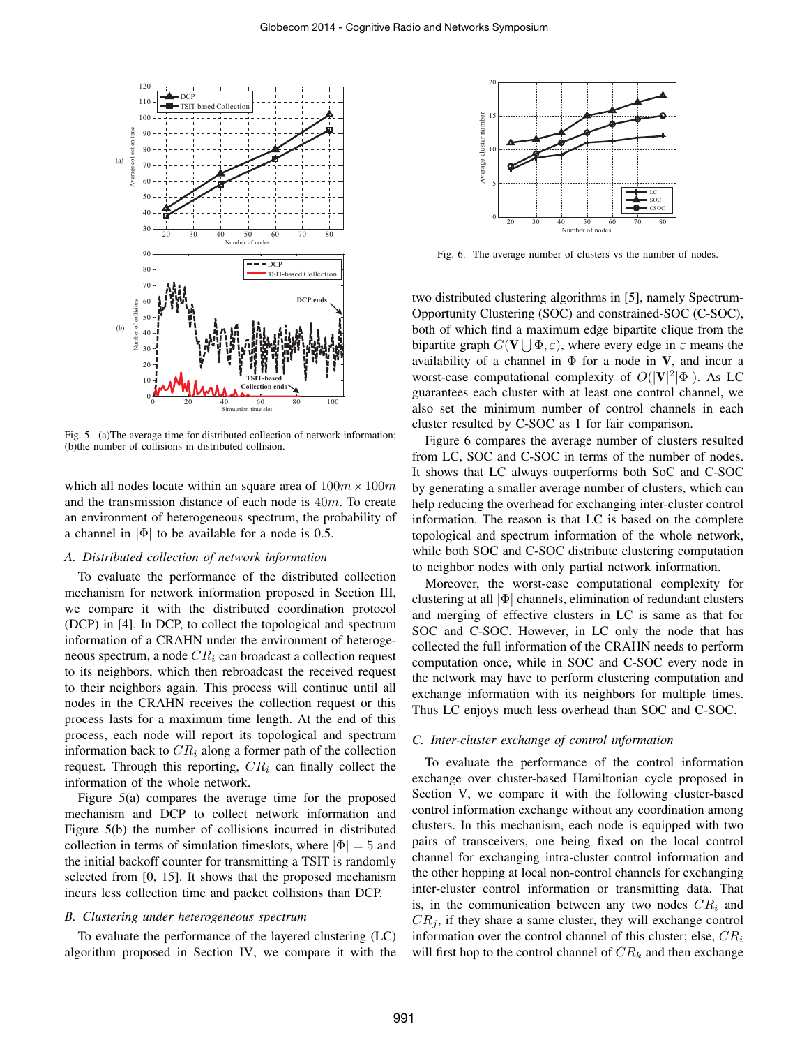

Fig. 5. (a)The average time for distributed collection of network information; (b)the number of collisions in distributed collision.

which all nodes locate within an square area of  $100m \times 100m$ and the transmission distance of each node is  $40m$ . To create an environment of heterogeneous spectrum, the probability of a channel in  $|\Phi|$  to be available for a node is 0.5.

# *A. Distributed collection of network information*

To evaluate the performance of the distributed collection mechanism for network information proposed in Section III, we compare it with the distributed coordination protocol (DCP) in [4]. In DCP, to collect the topological and spectrum information of a CRAHN under the environment of heterogeneous spectrum, a node  $CR_i$  can broadcast a collection request to its neighbors, which then rebroadcast the received request to their neighbors again. This process will continue until all nodes in the CRAHN receives the collection request or this process lasts for a maximum time length. At the end of this process, each node will report its topological and spectrum information back to  $CR_i$  along a former path of the collection request. Through this reporting,  $CR<sub>i</sub>$  can finally collect the information of the whole network.

Figure 5(a) compares the average time for the proposed mechanism and DCP to collect network information and Figure 5(b) the number of collisions incurred in distributed collection in terms of simulation timeslots, where  $|\Phi| = 5$  and the initial backoff counter for transmitting a TSIT is randomly selected from [0, 15]. It shows that the proposed mechanism incurs less collection time and packet collisions than DCP.

# *B. Clustering under heterogeneous spectrum*

To evaluate the performance of the layered clustering (LC) algorithm proposed in Section IV, we compare it with the



Fig. 6. The average number of clusters vs the number of nodes.

two distributed clustering algorithms in [5], namely Spectrum-Opportunity Clustering (SOC) and constrained-SOC (C-SOC), both of which find a maximum edge bipartite clique from the bipartite graph  $G(V | \nvert \Phi, \varepsilon)$ , where every edge in  $\varepsilon$  means the availability of a channel in  $\Phi$  for a node in V, and incur a worst-case computational complexity of  $O(|V|^2|\Phi|)$ . As LC guarantees each cluster with at least one control channel, we also set the minimum number of control channels in each cluster resulted by C-SOC as 1 for fair comparison.

Figure 6 compares the average number of clusters resulted from LC, SOC and C-SOC in terms of the number of nodes. It shows that LC always outperforms both SoC and C-SOC by generating a smaller average number of clusters, which can help reducing the overhead for exchanging inter-cluster control information. The reason is that LC is based on the complete topological and spectrum information of the whole network, while both SOC and C-SOC distribute clustering computation to neighbor nodes with only partial network information.

Moreover, the worst-case computational complexity for clustering at all |Φ| channels, elimination of redundant clusters and merging of effective clusters in LC is same as that for SOC and C-SOC. However, in LC only the node that has collected the full information of the CRAHN needs to perform computation once, while in SOC and C-SOC every node in the network may have to perform clustering computation and exchange information with its neighbors for multiple times. Thus LC enjoys much less overhead than SOC and C-SOC.

# *C. Inter-cluster exchange of control information*

To evaluate the performance of the control information exchange over cluster-based Hamiltonian cycle proposed in Section V, we compare it with the following cluster-based control information exchange without any coordination among clusters. In this mechanism, each node is equipped with two pairs of transceivers, one being fixed on the local control channel for exchanging intra-cluster control information and the other hopping at local non-control channels for exchanging inter-cluster control information or transmitting data. That is, in the communication between any two nodes  $CR<sub>i</sub>$  and  $CR<sub>i</sub>$ , if they share a same cluster, they will exchange control information over the control channel of this cluster; else,  $CR_i$ will first hop to the control channel of  $CR_k$  and then exchange